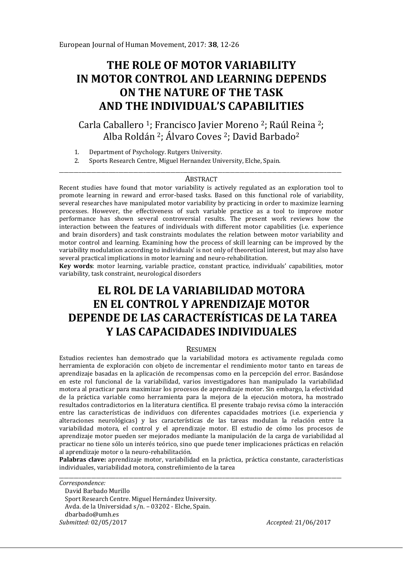# **THE ROLE OF MOTOR VARIABILITY IN MOTOR CONTROL AND LEARNING DEPENDS ON THE NATURE OF THE TASK AND THE INDIVIDUAL'S CAPABILITIES**

Carla Caballero 1; Francisco Javier Moreno 2; Raúl Reina 2; Alba Roldán 2; Álvaro Coves 2; David Barbado2

- 1. Department of Psychology. Rutgers University.<br>2. Sports Research Centre. Miguel Hernandez Uni
- 2. Sports Research Centre, Miguel Hernandez University, Elche, Spain.

#### \_\_\_\_\_\_\_\_\_\_\_\_\_\_\_\_\_\_\_\_\_\_\_\_\_\_\_\_\_\_\_\_\_\_\_\_\_\_\_\_\_\_\_\_\_\_\_\_\_\_\_\_\_\_\_\_\_\_\_\_\_\_\_\_\_\_\_\_\_\_\_\_\_\_\_\_\_\_\_\_\_\_\_\_\_\_\_\_\_\_\_\_\_\_\_\_\_\_\_\_\_\_\_\_\_\_\_\_\_\_\_\_\_\_ **ABSTRACT**

Recent studies have found that motor variability is actively regulated as an exploration tool to promote learning in reward and error-based tasks. Based on this functional role of variability, several researches have manipulated motor variability by practicing in order to maximize learning processes. However, the effectiveness of such variable practice as a tool to improve motor performance has shown several controversial results. The present work reviews how the interaction between the features of individuals with different motor capabilities (i.e. experience and brain disorders) and task constraints modulates the relation between motor variability and motor control and learning. Examining how the process of skill learning can be improved by the variability modulation according to individuals' is not only of theoretical interest, but may also have several practical implications in motor learning and neuro-rehabilitation.

**Key words**: motor learning, variable practice, constant practice, individuals' capabilities, motor variability, task constraint, neurological disorders

# **EL ROL DE LA VARIABILIDAD MOTORA EN EL CONTROL Y APRENDIZAJE MOTOR DEPENDE DE LAS CARACTERÍSTICAS DE LA TAREA Y LAS CAPACIDADES INDIVIDUALES**

#### **RESUMEN**

Estudios recientes han demostrado que la variabilidad motora es activamente regulada como herramienta de exploración con objeto de incrementar el rendimiento motor tanto en tareas de aprendizaje basadas en la aplicación de recompensas como en la percepción del error. Basándose en este rol funcional de la variabilidad, varios investigadores han manipulado la variabilidad motora al practicar para maximizar los procesos de aprendizaje motor. Sin embargo, la efectividad de la práctica variable como herramienta para la mejora de la ejecución motora, ha mostrado resultados contradictorios en la literatura científica. El presente trabajo revisa cómo la interacción entre las características de individuos con diferentes capacidades motrices (i.e. experiencia y alteraciones neurológicas) y las características de las tareas modulan la relación entre la variabilidad motora, el control y el aprendizaje motor. El estudio de cómo los procesos de aprendizaje motor pueden ser mejorados mediante la manipulación de la carga de variabilidad al practicar no tiene sólo un interés teórico, sino que puede tener implicaciones prácticas en relación al aprendizaje motor o la neuro-rehabilitación.

**Palabras clave:** aprendizaje motor, variabilidad en la práctica, práctica constante, características individuales, variabilidad motora, constreñimiento de la tarea

\_\_\_\_\_\_\_\_\_\_\_\_\_\_\_\_\_\_\_\_\_\_\_\_\_\_\_\_\_\_\_\_\_\_\_\_\_\_\_\_\_\_\_\_\_\_\_\_\_\_\_\_\_\_\_\_\_\_\_\_\_\_\_\_\_\_\_\_\_\_\_\_\_\_\_\_\_\_\_\_\_\_\_\_\_\_\_\_\_\_\_\_\_\_\_\_\_\_\_\_\_\_\_\_\_\_\_\_\_\_\_\_\_\_ *Correspondence:*  David Barbado Murillo Sport Research Centre. Miguel Hernández University. Avda. de la Universidad s/n. – 03202 - Elche, Spain. dbarbado@umh.es *Submitted:* 02/05/2017 *Accepted:* 21/06/2017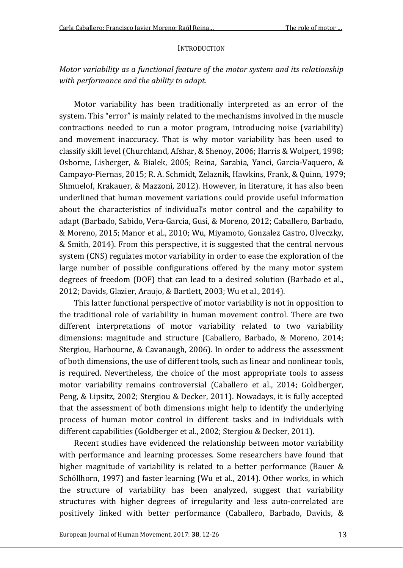#### **INTRODUCTION**

## *Motor variability as a functional feature of the motor system and its relationship with performance and the ability to adapt.*

Motor variability has been traditionally interpreted as an error of the system. This "error" is mainly related to the mechanisms involved in the muscle contractions needed to run a motor program, introducing noise (variability) and movement inaccuracy. That is why motor variability has been used to classify skill level (Churchland, Afshar, & Shenoy, 2006; Harris & Wolpert, 1998; Osborne, Lisberger, & Bialek, 2005; Reina, Sarabia, Yanci, Garcia-Vaquero, & Campayo-Piernas, 2015; R. A. Schmidt, Zelaznik, Hawkins, Frank, & Quinn, 1979; Shmuelof, Krakauer, & Mazzoni, 2012). However, in literature, it has also been underlined that human movement variations could provide useful information about the characteristics of individual's motor control and the capability to adapt (Barbado, Sabido, Vera-Garcia, Gusi, & Moreno, 2012; Caballero, Barbado, & Moreno, 2015; Manor et al., 2010; Wu, Miyamoto, Gonzalez Castro, Olveczky, & Smith, 2014). From this perspective, it is suggested that the central nervous system (CNS) regulates motor variability in order to ease the exploration of the large number of possible configurations offered by the many motor system degrees of freedom (DOF) that can lead to a desired solution (Barbado et al., 2012; Davids, Glazier, Araujo, & Bartlett, 2003; Wu et al., 2014).

This latter functional perspective of motor variability is not in opposition to the traditional role of variability in human movement control. There are two different interpretations of motor variability related to two variability dimensions: magnitude and structure (Caballero, Barbado, & Moreno, 2014; Stergiou, Harbourne, & Cavanaugh, 2006). In order to address the assessment of both dimensions, the use of different tools, such as linear and nonlinear tools, is required. Nevertheless, the choice of the most appropriate tools to assess motor variability remains controversial (Caballero et al., 2014; Goldberger, Peng, & Lipsitz, 2002; Stergiou & Decker, 2011). Nowadays, it is fully accepted that the assessment of both dimensions might help to identify the underlying process of human motor control in different tasks and in individuals with different capabilities (Goldberger et al., 2002; Stergiou & Decker, 2011).

Recent studies have evidenced the relationship between motor variability with performance and learning processes. Some researchers have found that higher magnitude of variability is related to a better performance (Bauer & Schöllhorn, 1997) and faster learning (Wu et al., 2014). Other works, in which the structure of variability has been analyzed, suggest that variability structures with higher degrees of irregularity and less auto-correlated are positively linked with better performance (Caballero, Barbado, Davids, &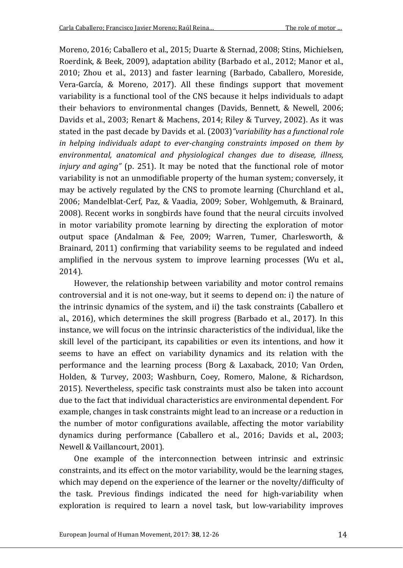Moreno, 2016; Caballero et al., 2015; Duarte & Sternad, 2008; Stins, Michielsen, Roerdink, & Beek, 2009), adaptation ability (Barbado et al., 2012; Manor et al., 2010; Zhou et al., 2013) and faster learning (Barbado, Caballero, Moreside, Vera-García, & Moreno, 2017). All these findings support that movement variability is a functional tool of the CNS because it helps individuals to adapt their behaviors to environmental changes (Davids, Bennett, & Newell, 2006; Davids et al., 2003; Renart & Machens, 2014; Riley & Turvey, 2002). As it was stated in the past decade by Davids et al. (2003)*"variability has a functional role in helping individuals adapt to ever-changing constraints imposed on them by environmental, anatomical and physiological changes due to disease, illness, injury and aging"* (p. 251). It may be noted that the functional role of motor variability is not an unmodifiable property of the human system; conversely, it may be actively regulated by the CNS to promote learning (Churchland et al., 2006; Mandelblat-Cerf, Paz, & Vaadia, 2009; Sober, Wohlgemuth, & Brainard, 2008). Recent works in songbirds have found that the neural circuits involved in motor variability promote learning by directing the exploration of motor output space (Andalman & Fee, 2009; Warren, Tumer, Charlesworth, & Brainard, 2011) confirming that variability seems to be regulated and indeed amplified in the nervous system to improve learning processes (Wu et al., 2014).

However, the relationship between variability and motor control remains controversial and it is not one-way, but it seems to depend on: i) the nature of the intrinsic dynamics of the system, and ii) the task constraints (Caballero et al., 2016), which determines the skill progress (Barbado et al., 2017). In this instance, we will focus on the intrinsic characteristics of the individual, like the skill level of the participant, its capabilities or even its intentions, and how it seems to have an effect on variability dynamics and its relation with the performance and the learning process (Borg & Laxaback, 2010; Van Orden, Holden, & Turvey, 2003; Washburn, Coey, Romero, Malone, & Richardson, 2015). Nevertheless, specific task constraints must also be taken into account due to the fact that individual characteristics are environmental dependent. For example, changes in task constraints might lead to an increase or a reduction in the number of motor configurations available, affecting the motor variability dynamics during performance (Caballero et al., 2016; Davids et al., 2003; Newell & Vaillancourt, 2001).

One example of the interconnection between intrinsic and extrinsic constraints, and its effect on the motor variability, would be the learning stages, which may depend on the experience of the learner or the novelty/difficulty of the task. Previous findings indicated the need for high-variability when exploration is required to learn a novel task, but low-variability improves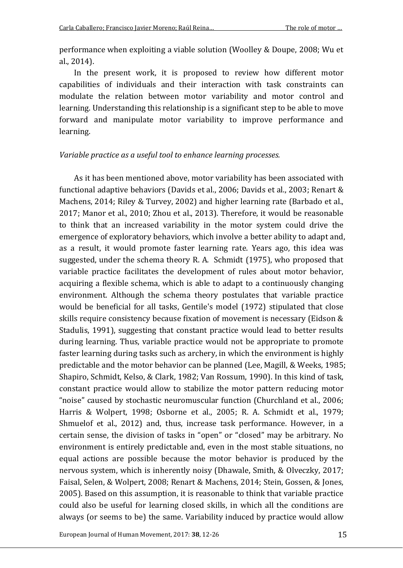performance when exploiting a viable solution (Woolley & Doupe, 2008; Wu et al., 2014).

In the present work, it is proposed to review how different motor capabilities of individuals and their interaction with task constraints can modulate the relation between motor variability and motor control and learning. Understanding this relationship is a significant step to be able to move forward and manipulate motor variability to improve performance and learning.

### *Variable practice as a useful tool to enhance learning processes.*

As it has been mentioned above, motor variability has been associated with functional adaptive behaviors (Davids et al., 2006; Davids et al., 2003; Renart & Machens, 2014; Riley & Turvey, 2002) and higher learning rate (Barbado et al., 2017; Manor et al., 2010; Zhou et al., 2013). Therefore, it would be reasonable to think that an increased variability in the motor system could drive the emergence of exploratory behaviors, which involve a better ability to adapt and, as a result, it would promote faster learning rate. Years ago, this idea was suggested, under the schema theory R. A. Schmidt (1975), who proposed that variable practice facilitates the development of rules about motor behavior, acquiring a flexible schema, which is able to adapt to a continuously changing environment. Although the schema theory postulates that variable practice would be beneficial for all tasks, Gentile's model (1972) stipulated that close skills require consistency because fixation of movement is necessary (Eidson & Stadulis, 1991), suggesting that constant practice would lead to better results during learning. Thus, variable practice would not be appropriate to promote faster learning during tasks such as archery, in which the environment is highly predictable and the motor behavior can be planned (Lee, Magill, & Weeks, 1985; Shapiro, Schmidt, Kelso, & Clark, 1982; Van Rossum, 1990). In this kind of task, constant practice would allow to stabilize the motor pattern reducing motor "noise" caused by stochastic neuromuscular function (Churchland et al., 2006; Harris & Wolpert, 1998; Osborne et al., 2005; R. A. Schmidt et al., 1979; Shmuelof et al., 2012) and, thus, increase task performance. However, in a certain sense, the division of tasks in "open" or "closed" may be arbitrary. No environment is entirely predictable and, even in the most stable situations, no equal actions are possible because the motor behavior is produced by the nervous system, which is inherently noisy (Dhawale, Smith, & Olveczky, 2017; Faisal, Selen, & Wolpert, 2008; Renart & Machens, 2014; Stein, Gossen, & Jones, 2005). Based on this assumption, it is reasonable to think that variable practice could also be useful for learning closed skills, in which all the conditions are always (or seems to be) the same. Variability induced by practice would allow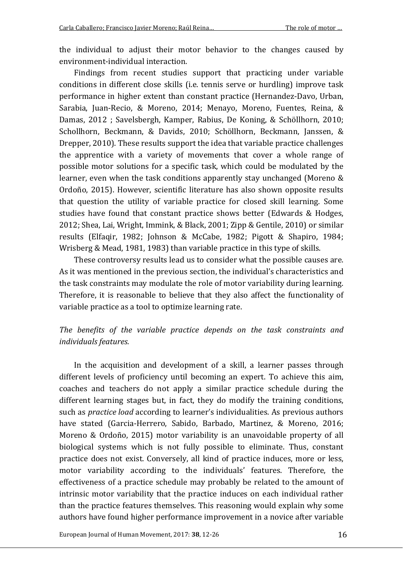the individual to adjust their motor behavior to the changes caused by environment-individual interaction.

Findings from recent studies support that practicing under variable conditions in different close skills (i.e. tennis serve or hurdling) improve task performance in higher extent than constant practice (Hernandez-Davo, Urban, Sarabia, Juan-Recio, & Moreno, 2014; Menayo, Moreno, Fuentes, Reina, & Damas, 2012 ; Savelsbergh, Kamper, Rabius, De Koning, & Schöllhorn, 2010; Schollhorn, Beckmann, & Davids, 2010; Schöllhorn, Beckmann, Janssen, & Drepper, 2010). These results support the idea that variable practice challenges the apprentice with a variety of movements that cover a whole range of possible motor solutions for a specific task, which could be modulated by the learner, even when the task conditions apparently stay unchanged (Moreno & Ordoño, 2015). However, scientific literature has also shown opposite results that question the utility of variable practice for closed skill learning. Some studies have found that constant practice shows better (Edwards & Hodges, 2012; Shea, Lai, Wright, Immink, & Black, 2001; Zipp & Gentile, 2010) or similar results (Elfaqir, 1982; Johnson & McCabe, 1982; Pigott & Shapiro, 1984; Wrisberg & Mead, 1981, 1983) than variable practice in this type of skills.

These controversy results lead us to consider what the possible causes are. As it was mentioned in the previous section, the individual's characteristics and the task constraints may modulate the role of motor variability during learning. Therefore, it is reasonable to believe that they also affect the functionality of variable practice as a tool to optimize learning rate.

## *The benefits of the variable practice depends on the task constraints and individuals features.*

In the acquisition and development of a skill, a learner passes through different levels of proficiency until becoming an expert. To achieve this aim, coaches and teachers do not apply a similar practice schedule during the different learning stages but, in fact, they do modify the training conditions, such as *practice load* according to learner's individualities. As previous authors have stated (Garcia-Herrero, Sabido, Barbado, Martinez, & Moreno, 2016; Moreno & Ordoño, 2015) motor variability is an unavoidable property of all biological systems which is not fully possible to eliminate. Thus, constant practice does not exist. Conversely, all kind of practice induces, more or less, motor variability according to the individuals' features. Therefore, the effectiveness of a practice schedule may probably be related to the amount of intrinsic motor variability that the practice induces on each individual rather than the practice features themselves. This reasoning would explain why some authors have found higher performance improvement in a novice after variable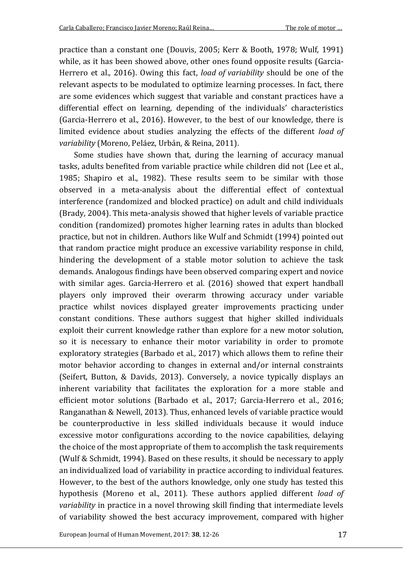practice than a constant one (Douvis, 2005; Kerr & Booth, 1978; Wulf, 1991) while, as it has been showed above, other ones found opposite results (Garcia-Herrero et al., 2016). Owing this fact, *load of variability* should be one of the relevant aspects to be modulated to optimize learning processes. In fact, there are some evidences which suggest that variable and constant practices have a differential effect on learning, depending of the individuals' characteristics (Garcia-Herrero et al., 2016). However, to the best of our knowledge, there is limited evidence about studies analyzing the effects of the different *load of variability* (Moreno, Peláez, Urbán, & Reina, 2011).

Some studies have shown that, during the learning of accuracy manual tasks, adults benefited from variable practice while children did not (Lee et al., 1985; Shapiro et al., 1982). These results seem to be similar with those observed in a meta-analysis about the differential effect of contextual interference (randomized and blocked practice) on adult and child individuals (Brady, 2004). This meta-analysis showed that higher levels of variable practice condition (randomized) promotes higher learning rates in adults than blocked practice, but not in children. Authors like Wulf and Schmidt (1994) pointed out that random practice might produce an excessive variability response in child, hindering the development of a stable motor solution to achieve the task demands. Analogous findings have been observed comparing expert and novice with similar ages. Garcia-Herrero et al. (2016) showed that expert handball players only improved their overarm throwing accuracy under variable practice whilst novices displayed greater improvements practicing under constant conditions. These authors suggest that higher skilled individuals exploit their current knowledge rather than explore for a new motor solution, so it is necessary to enhance their motor variability in order to promote exploratory strategies (Barbado et al., 2017) which allows them to refine their motor behavior according to changes in external and/or internal constraints (Seifert, Button, & Davids, 2013). Conversely, a novice typically displays an inherent variability that facilitates the exploration for a more stable and efficient motor solutions (Barbado et al., 2017; Garcia-Herrero et al., 2016; Ranganathan & Newell, 2013). Thus, enhanced levels of variable practice would be counterproductive in less skilled individuals because it would induce excessive motor configurations according to the novice capabilities, delaying the choice of the most appropriate of them to accomplish the task requirements (Wulf & Schmidt, 1994). Based on these results, it should be necessary to apply an individualized load of variability in practice according to individual features. However, to the best of the authors knowledge, only one study has tested this hypothesis (Moreno et al., 2011). These authors applied different *load of variability* in practice in a novel throwing skill finding that intermediate levels of variability showed the best accuracy improvement, compared with higher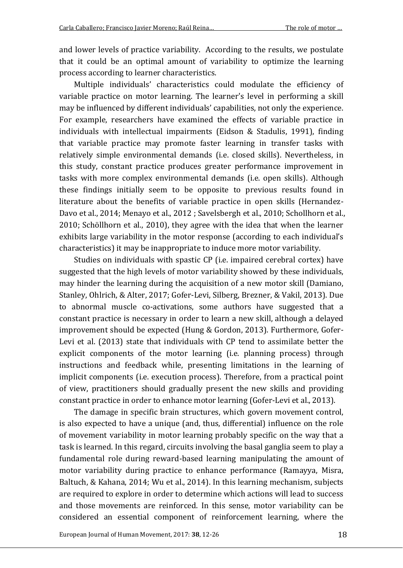and lower levels of practice variability. According to the results, we postulate that it could be an optimal amount of variability to optimize the learning process according to learner characteristics.

Multiple individuals' characteristics could modulate the efficiency of variable practice on motor learning. The learner's level in performing a skill may be influenced by different individuals' capabilities, not only the experience. For example, researchers have examined the effects of variable practice in individuals with intellectual impairments (Eidson & Stadulis, 1991), finding that variable practice may promote faster learning in transfer tasks with relatively simple environmental demands (i.e. closed skills). Nevertheless, in this study, constant practice produces greater performance improvement in tasks with more complex environmental demands (i.e. open skills). Although these findings initially seem to be opposite to previous results found in literature about the benefits of variable practice in open skills (Hernandez-Davo et al., 2014; Menayo et al., 2012 ; Savelsbergh et al., 2010; Schollhorn et al., 2010; Schöllhorn et al., 2010), they agree with the idea that when the learner exhibits large variability in the motor response (according to each individual's characteristics) it may be inappropriate to induce more motor variability.

Studies on individuals with spastic CP (i.e. impaired cerebral cortex) have suggested that the high levels of motor variability showed by these individuals, may hinder the learning during the acquisition of a new motor skill (Damiano, Stanley, Ohlrich, & Alter, 2017; Gofer-Levi, Silberg, Brezner, & Vakil, 2013). Due to abnormal muscle co-activations, some authors have suggested that a constant practice is necessary in order to learn a new skill, although a delayed improvement should be expected (Hung & Gordon, 2013). Furthermore, Gofer-Levi et al. (2013) state that individuals with CP tend to assimilate better the explicit components of the motor learning (i.e. planning process) through instructions and feedback while, presenting limitations in the learning of implicit components (i.e. execution process). Therefore, from a practical point of view, practitioners should gradually present the new skills and providing constant practice in order to enhance motor learning (Gofer-Levi et al., 2013).

The damage in specific brain structures, which govern movement control, is also expected to have a unique (and, thus, differential) influence on the role of movement variability in motor learning probably specific on the way that a task is learned. In this regard, circuits involving the basal ganglia seem to play a fundamental role during reward-based learning manipulating the amount of motor variability during practice to enhance performance (Ramayya, Misra, Baltuch, & Kahana, 2014; Wu et al., 2014). In this learning mechanism, subjects are required to explore in order to determine which actions will lead to success and those movements are reinforced. In this sense, motor variability can be considered an essential component of reinforcement learning, where the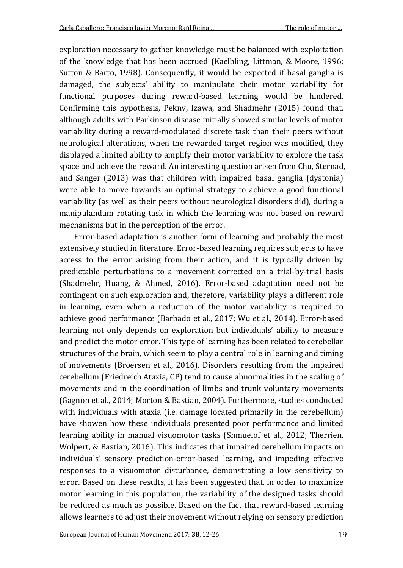exploration necessary to gather knowledge must be balanced with exploitation of the knowledge that has been accrued (Kaelbling, Littman, & Moore, 1996; Sutton & Barto, 1998). Consequently, it would be expected if basal ganglia is damaged, the subjects' ability to manipulate their motor variability for functional purposes during reward-based learning would be hindered. Confirming this hypothesis, Pekny, Izawa, and Shadmehr (2015) found that, although adults with Parkinson disease initially showed similar levels of motor variability during a reward-modulated discrete task than their peers without neurological alterations, when the rewarded target region was modified, they displayed a limited ability to amplify their motor variability to explore the task space and achieve the reward. An interesting question arisen from Chu, Sternad, and Sanger (2013) was that children with impaired basal ganglia (dystonia) were able to move towards an optimal strategy to achieve a good functional variability (as well as their peers without neurological disorders did), during a manipulandum rotating task in which the learning was not based on reward mechanisms but in the perception of the error.

Error-based adaptation is another form of learning and probably the most extensively studied in literature. Error-based learning requires subjects to have access to the error arising from their action, and it is typically driven by predictable perturbations to a movement corrected on a trial-by-trial basis (Shadmehr, Huang, & Ahmed, 2016). Error-based adaptation need not be contingent on such exploration and, therefore, variability plays a different role in learning, even when a reduction of the motor variability is required to achieve good performance (Barbado et al., 2017; Wu et al., 2014). Error-based learning not only depends on exploration but individuals' ability to measure and predict the motor error. This type of learning has been related to cerebellar structures of the brain, which seem to play a central role in learning and timing of movements (Broersen et al., 2016). Disorders resulting from the impaired cerebellum (Friedreich Ataxia, CP) tend to cause abnormalities in the scaling of movements and in the coordination of limbs and trunk voluntary movements (Gagnon et al., 2014; Morton & Bastian, 2004). Furthermore, studies conducted with individuals with ataxia (i.e. damage located primarily in the cerebellum) have showen how these individuals presented poor performance and limited learning ability in manual visuomotor tasks (Shmuelof et al., 2012; Therrien, Wolpert, & Bastian, 2016). This indicates that impaired cerebellum impacts on individuals' sensory prediction-error-based learning, and impeding effective responses to a visuomotor disturbance, demonstrating a low sensitivity to error. Based on these results, it has been suggested that, in order to maximize motor learning in this population, the variability of the designed tasks should be reduced as much as possible. Based on the fact that reward-based learning allows learners to adjust their movement without relying on sensory prediction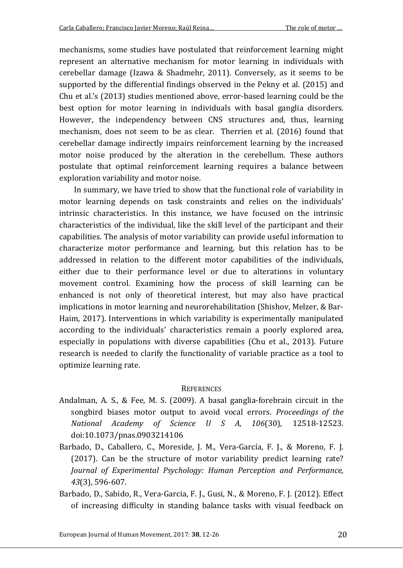mechanisms, some studies have postulated that reinforcement learning might represent an alternative mechanism for motor learning in individuals with cerebellar damage (Izawa & Shadmehr, 2011). Conversely, as it seems to be supported by the differential findings observed in the Pekny et al. (2015) and Chu et al.'s (2013) studies mentioned above, error-based learning could be the best option for motor learning in individuals with basal ganglia disorders. However, the independency between CNS structures and, thus, learning mechanism, does not seem to be as clear. Therrien et al. (2016) found that cerebellar damage indirectly impairs reinforcement learning by the increased motor noise produced by the alteration in the cerebellum. These authors postulate that optimal reinforcement learning requires a balance between exploration variability and motor noise.

In summary, we have tried to show that the functional role of variability in motor learning depends on task constraints and relies on the individuals' intrinsic characteristics. In this instance, we have focused on the intrinsic characteristics of the individual, like the skill level of the participant and their capabilities. The analysis of motor variability can provide useful information to characterize motor performance and learning, but this relation has to be addressed in relation to the different motor capabilities of the individuals, either due to their performance level or due to alterations in voluntary movement control. Examining how the process of skill learning can be enhanced is not only of theoretical interest, but may also have practical implications in motor learning and neurorehabilitation (Shishov, Melzer, & Bar-Haim, 2017). Interventions in which variability is experimentally manipulated according to the individuals' characteristics remain a poorly explored area, especially in populations with diverse capabilities (Chu et al., 2013). Future research is needed to clarify the functionality of variable practice as a tool to optimize learning rate.

### **REFERENCES**

- Andalman, A. S., & Fee, M. S. (2009). A basal ganglia-forebrain circuit in the songbird biases motor output to avoid vocal errors. *Proceedings of the National Academy of Science U S A, 106*(30), 12518-12523. doi:10.1073/pnas.0903214106
- Barbado, D., Caballero, C., Moreside, J. M., Vera-García, F. J., & Moreno, F. J. (2017). Can be the structure of motor variability predict learning rate? *Journal of Experimental Psychology: Human Perception and Performance, 43*(3), 596-607.
- Barbado, D., Sabido, R., Vera-Garcia, F. J., Gusi, N., & Moreno, F. J. (2012). Effect of increasing difficulty in standing balance tasks with visual feedback on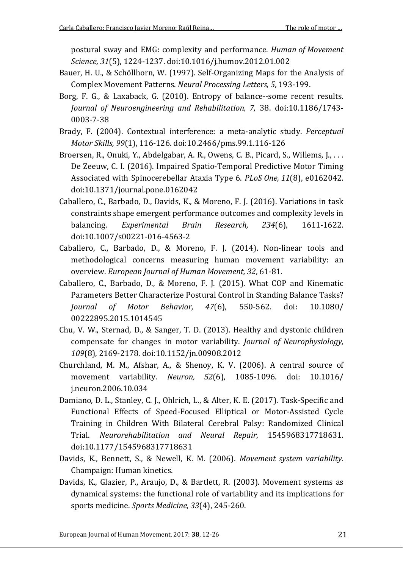postural sway and EMG: complexity and performance. *Human of Movement Science, 31*(5), 1224-1237. doi:10.1016/j.humov.2012.01.002

- Bauer, H. U., & Schöllhorn, W. (1997). Self-Organizing Maps for the Analysis of Complex Movement Patterns. *Neural Processing Letters, 5*, 193-199.
- Borg, F. G., & Laxaback, G. (2010). Entropy of balance--some recent results. *Journal of Neuroengineering and Rehabilitation, 7*, 38. doi:10.1186/1743- 0003-7-38
- Brady, F. (2004). Contextual interference: a meta-analytic study. *Perceptual Motor Skills, 99*(1), 116-126. doi:10.2466/pms.99.1.116-126
- Broersen, R., Onuki, Y., Abdelgabar, A. R., Owens, C. B., Picard, S., Willems, J., . . . De Zeeuw, C. I. (2016). Impaired Spatio-Temporal Predictive Motor Timing Associated with Spinocerebellar Ataxia Type 6. *PLoS One, 11*(8), e0162042. doi:10.1371/journal.pone.0162042
- Caballero, C., Barbado, D., Davids, K., & Moreno, F. J. (2016). Variations in task constraints shape emergent performance outcomes and complexity levels in balancing. *Experimental Brain Research, 234*(6), 1611-1622. doi:10.1007/s00221-016-4563-2
- Caballero, C., Barbado, D., & Moreno, F. J. (2014). Non-linear tools and methodological concerns measuring human movement variability: an overview. *European Journal of Human Movement, 32*, 61-81.
- Caballero, C., Barbado, D., & Moreno, F. J. (2015). What COP and Kinematic Parameters Better Characterize Postural Control in Standing Balance Tasks? *Journal of Motor Behavior, 47*(6), 550-562. doi: 10.1080/ 00222895.2015.1014545
- Chu, V. W., Sternad, D., & Sanger, T. D. (2013). Healthy and dystonic children compensate for changes in motor variability. *Journal of Neurophysiology, 109*(8), 2169-2178. doi:10.1152/jn.00908.2012
- Churchland, M. M., Afshar, A., & Shenoy, K. V. (2006). A central source of movement variability. *Neuron, 52*(6), 1085-1096. doi: 10.1016/ j.neuron.2006.10.034
- Damiano, D. L., Stanley, C. J., Ohlrich, L., & Alter, K. E. (2017). Task-Specific and Functional Effects of Speed-Focused Elliptical or Motor-Assisted Cycle Training in Children With Bilateral Cerebral Palsy: Randomized Clinical Trial. *Neurorehabilitation and Neural Repair*, 1545968317718631. doi:10.1177/1545968317718631
- Davids, K., Bennett, S., & Newell, K. M. (2006). *Movement system variability*. Champaign: Human kinetics.
- Davids, K., Glazier, P., Araujo, D., & Bartlett, R. (2003). Movement systems as dynamical systems: the functional role of variability and its implications for sports medicine. *Sports Medicine, 33*(4), 245-260.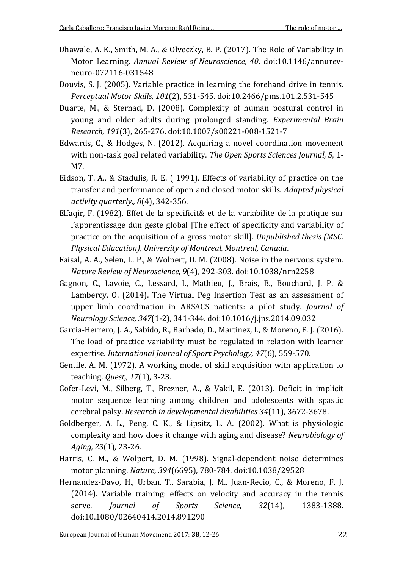- Dhawale, A. K., Smith, M. A., & Olveczky, B. P. (2017). The Role of Variability in Motor Learning. *Annual Review of Neuroscience, 40*. doi:10.1146/annurevneuro-072116-031548
- Douvis, S. J. (2005). Variable practice in learning the forehand drive in tennis. *Perceptual Motor Skills, 101*(2), 531-545. doi:10.2466/pms.101.2.531-545
- Duarte, M., & Sternad, D. (2008). Complexity of human postural control in young and older adults during prolonged standing. *Experimental Brain Research, 191*(3), 265-276. doi:10.1007/s00221-008-1521-7
- Edwards, C., & Hodges, N. (2012). Acquiring a novel coordination movement with non-task goal related variability. *The Open Sports Sciences Journal, 5*, 1- M7.
- Eidson, T. A., & Stadulis, R. E. ( 1991). Effects of variability of practice on the transfer and performance of open and closed motor skills. *Adapted physical activity quarterly,, 8*(4), 342-356.
- Elfaqir, F. (1982). Effet de la specificit& et de la variabilite de la pratique sur l'apprentissage dun geste global [The effect of specificity and variability of practice on the acquisition of a gross motor skill]. *Unpublished thesis (MSC. Physical Education), University of Montreal, Montreal, Canada*.
- Faisal, A. A., Selen, L. P., & Wolpert, D. M. (2008). Noise in the nervous system. *Nature Review of Neuroscience, 9*(4), 292-303. doi:10.1038/nrn2258
- Gagnon, C., Lavoie, C., Lessard, I., Mathieu, J., Brais, B., Bouchard, J. P. & Lambercy, O. (2014). The Virtual Peg Insertion Test as an assessment of upper limb coordination in ARSACS patients: a pilot study. *Journal of Neurology Science, 347*(1-2), 341-344. doi:10.1016/j.jns.2014.09.032
- Garcia-Herrero, J. A., Sabido, R., Barbado, D., Martinez, I., & Moreno, F. J. (2016). The load of practice variability must be regulated in relation with learner expertise. *International Journal of Sport Psychology, 47*(6), 559-570.
- Gentile, A. M. (1972). A working model of skill acquisition with application to teaching. *Quest,, 17*(1), 3-23.
- Gofer-Levi, M., Silberg, T., Brezner, A., & Vakil, E. (2013). Deficit in implicit motor sequence learning among children and adolescents with spastic cerebral palsy. *Research in developmental disabilities 34*(11), 3672-3678.
- Goldberger, A. L., Peng, C. K., & Lipsitz, L. A. (2002). What is physiologic complexity and how does it change with aging and disease? *Neurobiology of Aging, 23*(1), 23-26.
- Harris, C. M., & Wolpert, D. M. (1998). Signal-dependent noise determines motor planning. *Nature, 394*(6695), 780-784. doi:10.1038/29528
- Hernandez-Davo, H., Urban, T., Sarabia, J. M., Juan-Recio, C., & Moreno, F. J. (2014). Variable training: effects on velocity and accuracy in the tennis serve. *Journal of Sports Science, 32*(14), 1383-1388. doi:10.1080/02640414.2014.891290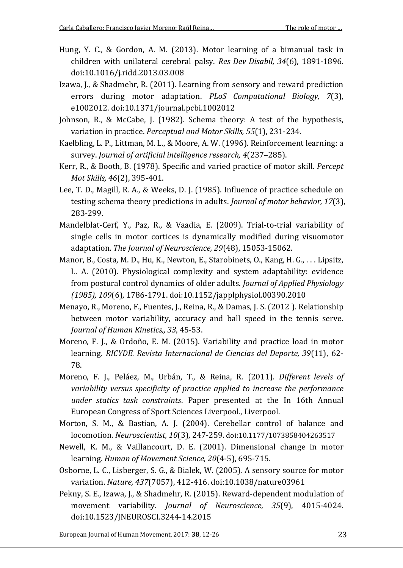- Hung, Y. C., & Gordon, A. M. (2013). Motor learning of a bimanual task in children with unilateral cerebral palsy. *Res Dev Disabil, 34*(6), 1891-1896. doi:10.1016/j.ridd.2013.03.008
- Izawa, J., & Shadmehr, R. (2011). Learning from sensory and reward prediction errors during motor adaptation. *PLoS Computational Biology, 7*(3), e1002012. doi:10.1371/journal.pcbi.1002012
- Johnson, R., & McCabe, J. (1982). Schema theory: A test of the hypothesis, variation in practice. *Perceptual and Motor Skills, 55*(1), 231-234.
- Kaelbling, L. P., Littman, M. L., & Moore, A. W. (1996). Reinforcement learning: a survey. *Journal of artificial intelligence research, 4*(237–285).
- Kerr, R., & Booth, B. (1978). Specific and varied practice of motor skill. *Percept Mot Skills, 46*(2), 395-401.
- Lee, T. D., Magill, R. A., & Weeks, D. J. (1985). Influence of practice schedule on testing schema theory predictions in adults. *Journal of motor behavior, 17*(3), 283-299.
- Mandelblat-Cerf, Y., Paz, R., & Vaadia, E. (2009). Trial-to-trial variability of single cells in motor cortices is dynamically modified during visuomotor adaptation. *The Journal of Neuroscience, 29*(48), 15053-15062.
- Manor, B., Costa, M. D., Hu, K., Newton, E., Starobinets, O., Kang, H. G., . . . Lipsitz, L. A. (2010). Physiological complexity and system adaptability: evidence from postural control dynamics of older adults. *Journal of Applied Physiology (1985), 109*(6), 1786-1791. doi:10.1152/japplphysiol.00390.2010
- Menayo, R., Moreno, F., Fuentes, J., Reina, R., & Damas, J. S. (2012 ). Relationship between motor variability, accuracy and ball speed in the tennis serve. *Journal of Human Kinetics,, 33*, 45-53.
- Moreno, F. J., & Ordoño, E. M. (2015). Variability and practice load in motor learning. *RICYDE. Revista Internacional de Ciencias del Deporte, 39*(11), 62- 78.
- Moreno, F. J., Peláez, M., Urbán, T., & Reina, R. (2011). *Different levels of variability versus specificity of practice applied to increase the performance under statics task constraints*. Paper presented at the In 16th Annual European Congress of Sport Sciences Liverpool., Liverpool.
- Morton, S. M., & Bastian, A. J. (2004). Cerebellar control of balance and locomotion. *Neuroscientist, 10*(3), 247-259. doi:10.1177/1073858404263517
- Newell, K. M., & Vaillancourt, D. E. (2001). Dimensional change in motor learning. *Human of Movement Science, 20*(4-5), 695-715.
- Osborne, L. C., Lisberger, S. G., & Bialek, W. (2005). A sensory source for motor variation. *Nature, 437*(7057), 412-416. doi:10.1038/nature03961
- Pekny, S. E., Izawa, J., & Shadmehr, R. (2015). Reward-dependent modulation of movement variability. *Journal of Neuroscience, 35*(9), 4015-4024. doi:10.1523/JNEUROSCI.3244-14.2015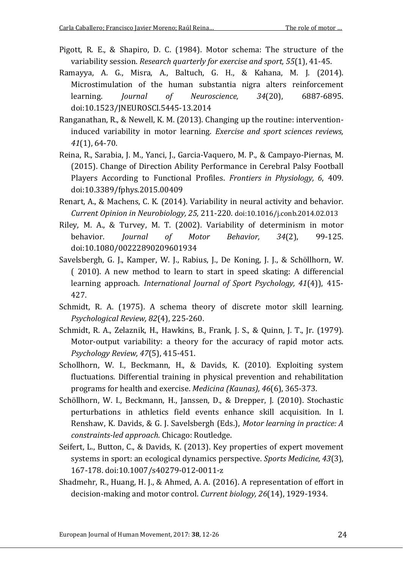- Pigott, R. E., & Shapiro, D. C. (1984). Motor schema: The structure of the variability session. *Research quarterly for exercise and sport, 55*(1), 41-45.
- Ramayya, A. G., Misra, A., Baltuch, G. H., & Kahana, M. J. (2014). Microstimulation of the human substantia nigra alters reinforcement learning. *Journal of Neuroscience, 34*(20), 6887-6895. doi:10.1523/JNEUROSCI.5445-13.2014
- Ranganathan, R., & Newell, K. M. (2013). Changing up the routine: interventioninduced variability in motor learning. *Exercise and sport sciences reviews, 41*(1), 64-70.
- Reina, R., Sarabia, J. M., Yanci, J., Garcia-Vaquero, M. P., & Campayo-Piernas, M. (2015). Change of Direction Ability Performance in Cerebral Palsy Football Players According to Functional Profiles. *Frontiers in Physiology, 6*, 409. doi:10.3389/fphys.2015.00409
- Renart, A., & Machens, C. K. (2014). Variability in neural activity and behavior. *Current Opinion in Neurobiology, 25*, 211-220. doi:10.1016/j.conb.2014.02.013
- Riley, M. A., & Turvey, M. T. (2002). Variability of determinism in motor behavior. *Journal of Motor Behavior, 34*(2), 99-125. doi:10.1080/00222890209601934
- Savelsbergh, G. J., Kamper, W. J., Rabius, J., De Koning, J. J., & Schöllhorn, W. ( 2010). A new method to learn to start in speed skating: A differencial learning approach. *International Journal of Sport Psychology, 41*(4)), 415- 427.
- Schmidt, R. A. (1975). A schema theory of discrete motor skill learning. *Psychological Review, 82*(4), 225-260.
- Schmidt, R. A., Zelaznik, H., Hawkins, B., Frank, J. S., & Quinn, J. T., Jr. (1979). Motor-output variability: a theory for the accuracy of rapid motor acts. *Psychology Review, 47*(5), 415-451.
- Schollhorn, W. I., Beckmann, H., & Davids, K. (2010). Exploiting system fluctuations. Differential training in physical prevention and rehabilitation programs for health and exercise. *Medicina (Kaunas), 46*(6), 365-373.
- Schöllhorn, W. I., Beckmann, H., Janssen, D., & Drepper, J. (2010). Stochastic perturbations in athletics field events enhance skill acquisition. In I. Renshaw, K. Davids, & G. J. Savelsbergh (Eds.), *Motor learning in practice: A constraints-led approach*. Chicago: Routledge.
- Seifert, L., Button, C., & Davids, K. (2013). Key properties of expert movement systems in sport: an ecological dynamics perspective. *Sports Medicine, 43*(3), 167-178. doi:10.1007/s40279-012-0011-z
- Shadmehr, R., Huang, H. J., & Ahmed, A. A. (2016). A representation of effort in decision-making and motor control. *Current biology, 26*(14), 1929-1934.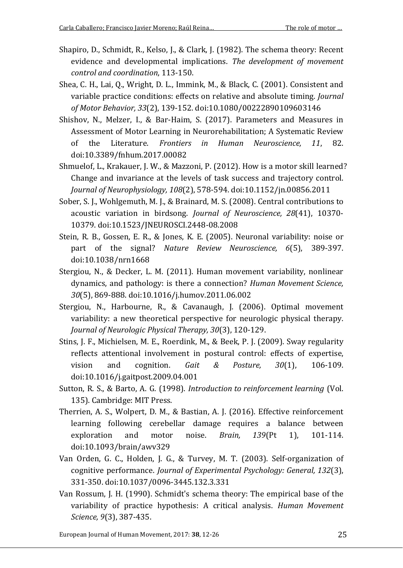- Shapiro, D., Schmidt, R., Kelso, J., & Clark, J. (1982). The schema theory: Recent evidence and developmental implications. *The development of movement control and coordination*, 113-150.
- Shea, C. H., Lai, Q., Wright, D. L., Immink, M., & Black, C. (2001). Consistent and variable practice conditions: effects on relative and absolute timing. *Journal of Motor Behavior, 33*(2), 139-152. doi:10.1080/00222890109603146
- Shishov, N., Melzer, I., & Bar-Haim, S. (2017). Parameters and Measures in Assessment of Motor Learning in Neurorehabilitation; A Systematic Review of the Literature. *Frontiers in Human Neuroscience, 11*, 82. doi:10.3389/fnhum.2017.00082
- Shmuelof, L., Krakauer, J. W., & Mazzoni, P. (2012). How is a motor skill learned? Change and invariance at the levels of task success and trajectory control. *Journal of Neurophysiology, 108*(2), 578-594. doi:10.1152/jn.00856.2011
- Sober, S. J., Wohlgemuth, M. J., & Brainard, M. S. (2008). Central contributions to acoustic variation in birdsong. *Journal of Neuroscience, 28*(41), 10370- 10379. doi:10.1523/JNEUROSCI.2448-08.2008
- Stein, R. B., Gossen, E. R., & Jones, K. E. (2005). Neuronal variability: noise or part of the signal? *Nature Review Neuroscience, 6*(5), 389-397. doi:10.1038/nrn1668
- Stergiou, N., & Decker, L. M. (2011). Human movement variability, nonlinear dynamics, and pathology: is there a connection? *Human Movement Science, 30*(5), 869-888. doi:10.1016/j.humov.2011.06.002
- Stergiou, N., Harbourne, R., & Cavanaugh, J. (2006). Optimal movement variability: a new theoretical perspective for neurologic physical therapy. *Journal of Neurologic Physical Therapy, 30*(3), 120-129.
- Stins, J. F., Michielsen, M. E., Roerdink, M., & Beek, P. J. (2009). Sway regularity reflects attentional involvement in postural control: effects of expertise, vision and cognition. *Gait & Posture, 30*(1), 106-109. doi:10.1016/j.gaitpost.2009.04.001
- Sutton, R. S., & Barto, A. G. (1998). *Introduction to reinforcement learning* (Vol. 135). Cambridge: MIT Press.
- Therrien, A. S., Wolpert, D. M., & Bastian, A. J. (2016). Effective reinforcement learning following cerebellar damage requires a balance between exploration and motor noise. *Brain, 139*(Pt 1), 101-114. doi:10.1093/brain/awv329
- Van Orden, G. C., Holden, J. G., & Turvey, M. T. (2003). Self-organization of cognitive performance. *Journal of Experimental Psychology: General, 132*(3), 331-350. doi:10.1037/0096-3445.132.3.331
- Van Rossum, J. H. (1990). Schmidt's schema theory: The empirical base of the variability of practice hypothesis: A critical analysis. *Human Movement Science, 9*(3), 387-435.